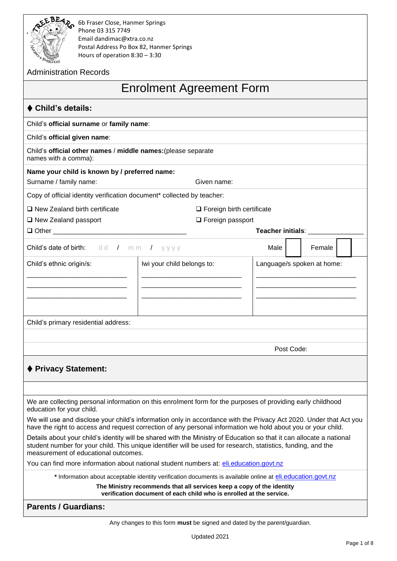

**EBEAP 6b Fraser Close, Hanmer Springs Addiscript Phone 03 315 7749** Email dandimac@xtra.co.nz Postal Address Po Box 82, Hanmer Springs

| <b>ANY A Preschool</b><br>Hours of operation $8:30 - 3:30$                            |                                                                                                                                                                                                                                       |                            |        |  |
|---------------------------------------------------------------------------------------|---------------------------------------------------------------------------------------------------------------------------------------------------------------------------------------------------------------------------------------|----------------------------|--------|--|
| <b>Administration Records</b>                                                         |                                                                                                                                                                                                                                       |                            |        |  |
|                                                                                       | <b>Enrolment Agreement Form</b>                                                                                                                                                                                                       |                            |        |  |
| $\blacklozenge$ Child's details:                                                      |                                                                                                                                                                                                                                       |                            |        |  |
| Child's official surname or family name:                                              |                                                                                                                                                                                                                                       |                            |        |  |
| Child's official given name:                                                          |                                                                                                                                                                                                                                       |                            |        |  |
| Child's official other names / middle names: (please separate<br>names with a comma): |                                                                                                                                                                                                                                       |                            |        |  |
| Name your child is known by / preferred name:                                         |                                                                                                                                                                                                                                       |                            |        |  |
| Surname / family name:                                                                | Given name:                                                                                                                                                                                                                           |                            |        |  |
| Copy of official identity verification document* collected by teacher:                |                                                                                                                                                                                                                                       |                            |        |  |
| $\square$ New Zealand birth certificate                                               | $\Box$ Foreign birth certificate                                                                                                                                                                                                      |                            |        |  |
| □ New Zealand passport                                                                | $\Box$ Foreign passport                                                                                                                                                                                                               |                            |        |  |
| □ Other ___________                                                                   |                                                                                                                                                                                                                                       | Teacher initials: ______   |        |  |
| Child's date of birth: dd / mm / yyyy                                                 |                                                                                                                                                                                                                                       | Male                       | Female |  |
| Child's ethnic origin/s:                                                              | Iwi your child belongs to:                                                                                                                                                                                                            | Language/s spoken at home: |        |  |
|                                                                                       |                                                                                                                                                                                                                                       |                            |        |  |
|                                                                                       |                                                                                                                                                                                                                                       |                            |        |  |
|                                                                                       |                                                                                                                                                                                                                                       |                            |        |  |
| Child's primary residential address:                                                  |                                                                                                                                                                                                                                       |                            |        |  |
|                                                                                       |                                                                                                                                                                                                                                       |                            |        |  |
|                                                                                       |                                                                                                                                                                                                                                       | Post Code:                 |        |  |
|                                                                                       |                                                                                                                                                                                                                                       |                            |        |  |
| ♦ Privacy Statement:                                                                  |                                                                                                                                                                                                                                       |                            |        |  |
|                                                                                       |                                                                                                                                                                                                                                       |                            |        |  |
| education for your child.                                                             | We are collecting personal information on this enrolment form for the purposes of providing early childhood                                                                                                                           |                            |        |  |
|                                                                                       | We will use and disclose your child's information only in accordance with the Privacy Act 2020. Under that Act you<br>have the right to access and request correction of any personal information we hold about you or your child.    |                            |        |  |
| measurement of educational outcomes.                                                  | Details about your child's identity will be shared with the Ministry of Education so that it can allocate a national<br>student number for your child. This unique identifier will be used for research, statistics, funding, and the |                            |        |  |
|                                                                                       | You can find more information about national student numbers at: eli.education.govt.nz                                                                                                                                                |                            |        |  |
|                                                                                       | * Information about acceptable identity verification documents is available online at eli.education.govt.nz                                                                                                                           |                            |        |  |
|                                                                                       | The Ministry recommends that all services keep a copy of the identity<br>verification document of each child who is enrolled at the service.                                                                                          |                            |        |  |
| <b>Parents / Guardians:</b>                                                           |                                                                                                                                                                                                                                       |                            |        |  |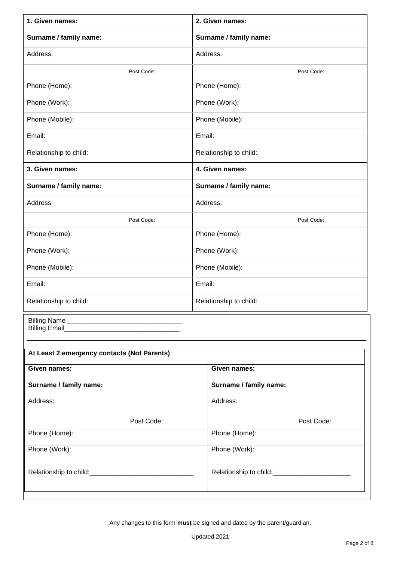| 1. Given names:                             | 2. Given names:        |  |  |
|---------------------------------------------|------------------------|--|--|
| Surname / family name:                      | Surname / family name: |  |  |
| Address:                                    | Address:               |  |  |
| Post Code:                                  | Post Code:             |  |  |
| Phone (Home):                               | Phone (Home):          |  |  |
| Phone (Work):                               | Phone (Work):          |  |  |
| Phone (Mobile):                             | Phone (Mobile):        |  |  |
| Email:                                      | Email:                 |  |  |
| Relationship to child:                      | Relationship to child: |  |  |
| 3. Given names:                             | 4. Given names:        |  |  |
| Surname / family name:                      | Surname / family name: |  |  |
| Address:                                    | Address:               |  |  |
| Post Code:                                  | Post Code:             |  |  |
| Phone (Home):                               | Phone (Home):          |  |  |
| Phone (Work):                               | Phone (Work):          |  |  |
| Phone (Mobile):                             | Phone (Mobile):        |  |  |
| Email:                                      | Email:                 |  |  |
| Relationship to child:                      | Relationship to child: |  |  |
|                                             |                        |  |  |
|                                             |                        |  |  |
| At Least 2 emergency contacts (Not Parents) |                        |  |  |
| Given names:                                | Given names:           |  |  |
| Surname / family name:                      | Surname / family name: |  |  |
| Address:                                    | Address:               |  |  |
| Post Code:                                  | Post Code:             |  |  |
| Phone (Home):                               | Phone (Home):          |  |  |
| Phone (Work):                               | Phone (Work):          |  |  |
|                                             |                        |  |  |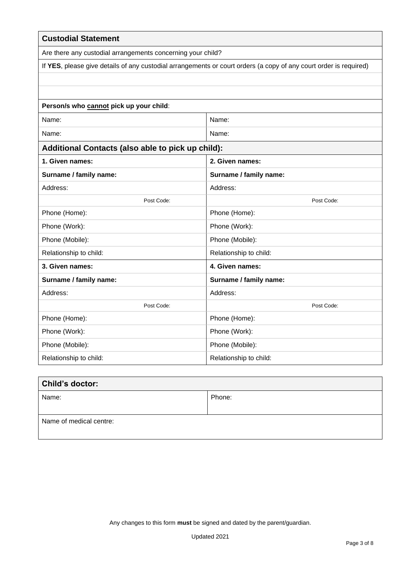| <b>Custodial Statement</b>                                  |                                                                                                                   |
|-------------------------------------------------------------|-------------------------------------------------------------------------------------------------------------------|
| Are there any custodial arrangements concerning your child? |                                                                                                                   |
|                                                             | If YES, please give details of any custodial arrangements or court orders (a copy of any court order is required) |
|                                                             |                                                                                                                   |
|                                                             |                                                                                                                   |
| Person/s who cannot pick up your child:                     |                                                                                                                   |
| Name:                                                       | Name:                                                                                                             |
| Name:                                                       | Name:                                                                                                             |
| Additional Contacts (also able to pick up child):           |                                                                                                                   |
| 1. Given names:                                             | 2. Given names:                                                                                                   |
| Surname / family name:                                      | Surname / family name:                                                                                            |
| Address:                                                    | Address:                                                                                                          |
| Post Code:                                                  | Post Code:                                                                                                        |
| Phone (Home):                                               | Phone (Home):                                                                                                     |
| Phone (Work):                                               | Phone (Work):                                                                                                     |
| Phone (Mobile):                                             | Phone (Mobile):                                                                                                   |
| Relationship to child:                                      | Relationship to child:                                                                                            |
| 3. Given names:                                             | 4. Given names:                                                                                                   |
| Surname / family name:                                      | Surname / family name:                                                                                            |
| Address:                                                    | Address:                                                                                                          |
| Post Code:                                                  | Post Code:                                                                                                        |
| Phone (Home):                                               | Phone (Home):                                                                                                     |
| Phone (Work):                                               | Phone (Work):                                                                                                     |
| Phone (Mobile):                                             | Phone (Mobile):                                                                                                   |
| Relationship to child:                                      | Relationship to child:                                                                                            |

| <b>Child's doctor:</b>  |        |
|-------------------------|--------|
| Name:                   | Phone: |
|                         |        |
| Name of medical centre: |        |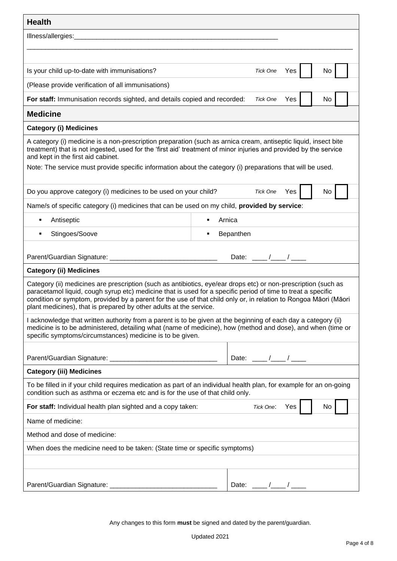| <b>Health</b>                                                                                                                                                                                                                                                                                                                                                                                                            |                |                               |  |  |
|--------------------------------------------------------------------------------------------------------------------------------------------------------------------------------------------------------------------------------------------------------------------------------------------------------------------------------------------------------------------------------------------------------------------------|----------------|-------------------------------|--|--|
| Illness/allergies:<br><u> 1980 - Jan James James Barnett, amerikan basar dan berasal dalam pengaran basar dalam pengaran basar dalam b</u>                                                                                                                                                                                                                                                                               |                |                               |  |  |
|                                                                                                                                                                                                                                                                                                                                                                                                                          |                |                               |  |  |
| Is your child up-to-date with immunisations?                                                                                                                                                                                                                                                                                                                                                                             |                | No<br><b>Tick One</b><br>Yes  |  |  |
| (Please provide verification of all immunisations)                                                                                                                                                                                                                                                                                                                                                                       |                |                               |  |  |
| For staff: Immunisation records sighted, and details copied and recorded:                                                                                                                                                                                                                                                                                                                                                |                | <b>Tick One</b><br>No<br>Yes  |  |  |
| <b>Medicine</b>                                                                                                                                                                                                                                                                                                                                                                                                          |                |                               |  |  |
| <b>Category (i) Medicines</b>                                                                                                                                                                                                                                                                                                                                                                                            |                |                               |  |  |
| A category (i) medicine is a non-prescription preparation (such as arnica cream, antiseptic liquid, insect bite<br>treatment) that is not ingested, used for the 'first aid' treatment of minor injuries and provided by the service<br>and kept in the first aid cabinet.                                                                                                                                               |                |                               |  |  |
| Note: The service must provide specific information about the category (i) preparations that will be used.                                                                                                                                                                                                                                                                                                               |                |                               |  |  |
| Do you approve category (i) medicines to be used on your child?                                                                                                                                                                                                                                                                                                                                                          |                | <b>Tick One</b><br>Yes<br>No  |  |  |
| Name/s of specific category (i) medicines that can be used on my child, provided by service:                                                                                                                                                                                                                                                                                                                             |                |                               |  |  |
| Antiseptic                                                                                                                                                                                                                                                                                                                                                                                                               |                | Arnica                        |  |  |
| Stingoes/Soove<br>٠                                                                                                                                                                                                                                                                                                                                                                                                      | $\blacksquare$ | Bepanthen                     |  |  |
|                                                                                                                                                                                                                                                                                                                                                                                                                          |                |                               |  |  |
|                                                                                                                                                                                                                                                                                                                                                                                                                          |                | Date: $\frac{1}{\sqrt{2\pi}}$ |  |  |
| <b>Category (ii) Medicines</b>                                                                                                                                                                                                                                                                                                                                                                                           |                |                               |  |  |
| Category (ii) medicines are prescription (such as antibiotics, eye/ear drops etc) or non-prescription (such as<br>paracetamol liquid, cough syrup etc) medicine that is used for a specific period of time to treat a specific<br>condition or symptom, provided by a parent for the use of that child only or, in relation to Rongoa Māori (Māori<br>plant medicines), that is prepared by other adults at the service. |                |                               |  |  |
| I acknowledge that written authority from a parent is to be given at the beginning of each day a category (ii)<br>medicine is to be administered, detailing what (name of medicine), how (method and dose), and when (time or<br>specific symptoms/circumstances) medicine is to be given.                                                                                                                               |                |                               |  |  |
|                                                                                                                                                                                                                                                                                                                                                                                                                          |                |                               |  |  |
|                                                                                                                                                                                                                                                                                                                                                                                                                          |                | Date: $\frac{\ }{\ }$         |  |  |
| <b>Category (iii) Medicines</b>                                                                                                                                                                                                                                                                                                                                                                                          |                |                               |  |  |
| To be filled in if your child requires medication as part of an individual health plan, for example for an on-going<br>condition such as asthma or eczema etc and is for the use of that child only.                                                                                                                                                                                                                     |                |                               |  |  |
| For staff: Individual health plan sighted and a copy taken:                                                                                                                                                                                                                                                                                                                                                              |                | Tick One:<br>Yes<br>No        |  |  |
| Name of medicine:                                                                                                                                                                                                                                                                                                                                                                                                        |                |                               |  |  |
| Method and dose of medicine:                                                                                                                                                                                                                                                                                                                                                                                             |                |                               |  |  |
| When does the medicine need to be taken: (State time or specific symptoms)                                                                                                                                                                                                                                                                                                                                               |                |                               |  |  |
|                                                                                                                                                                                                                                                                                                                                                                                                                          |                |                               |  |  |
|                                                                                                                                                                                                                                                                                                                                                                                                                          |                | Date: $\frac{1}{\sqrt{2\pi}}$ |  |  |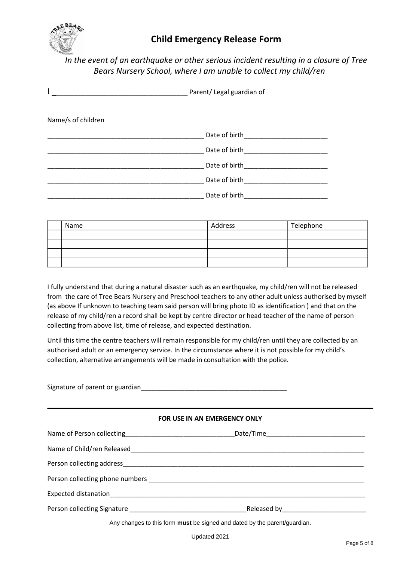

## **Child Emergency Release Form Child Emergency Release Form**

# *In the event of an earthquake or other serious incident resulting in a closure of Tree*  Bears Nursery School, where I am unable to collect my child/ren

|                    | Parent/ Legal guardian of |  |
|--------------------|---------------------------|--|
| Name/s of children |                           |  |
|                    | Date of birth             |  |
|                    | Date of birth             |  |
|                    | Date of birth             |  |
|                    | Date of birth             |  |
|                    | Date of birth             |  |

| Name | Address | Telephone |
|------|---------|-----------|
|      |         |           |
|      |         |           |
|      |         |           |
|      |         |           |

I fully understand that during a natural disaster such as an earthquake, my child/ren will not be released from the care of Tree Bears Nursery and Preschool teachers to any other adult unless authorised by myself (as above If unknown to teaching team said person will bring photo ID as identification ) and that on the release of my child/ren a record shall be kept by centre director or head teacher of the name of person collecting from above list, time of release, and expected destination.

Until this time the centre teachers will remain responsible for my child/ren until they are collected by an authorised adult or an emergency service. In the circumstance where it is not possible for my child's collection, alternative arrangements will be made in consultation with the police.

| FOR USE IN AN EMERGENCY ONLY                                              |  |
|---------------------------------------------------------------------------|--|
|                                                                           |  |
|                                                                           |  |
|                                                                           |  |
|                                                                           |  |
|                                                                           |  |
|                                                                           |  |
| Any changes to this form must be signed and dated by the parent/guardian. |  |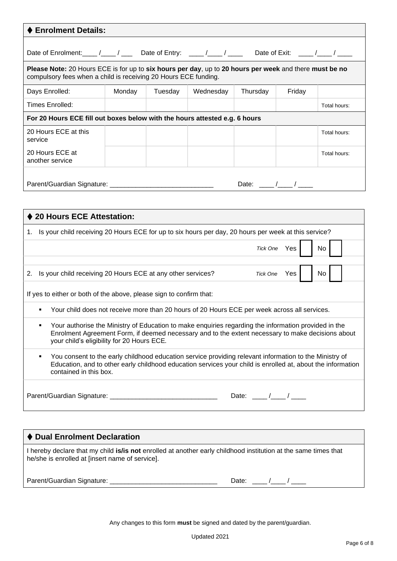| <b>Enrolment Details:</b>                                                                                                                                                                                                                                    |        |         |           |                                        |              |              |
|--------------------------------------------------------------------------------------------------------------------------------------------------------------------------------------------------------------------------------------------------------------|--------|---------|-----------|----------------------------------------|--------------|--------------|
| Date of Enrolment: ____ /____ / ____ Date of Entry: ____ /____ / ____ Date of Exit: ____ /____ / ____                                                                                                                                                        |        |         |           |                                        |              |              |
| Please Note: 20 Hours ECE is for up to six hours per day, up to 20 hours per week and there must be no<br>compulsory fees when a child is receiving 20 Hours ECE funding.                                                                                    |        |         |           |                                        |              |              |
| Days Enrolled:                                                                                                                                                                                                                                               | Monday | Tuesday | Wednesday | Thursday                               | Friday       |              |
| <b>Times Enrolled:</b>                                                                                                                                                                                                                                       |        |         |           |                                        |              | Total hours: |
| For 20 Hours ECE fill out boxes below with the hours attested e.g. 6 hours                                                                                                                                                                                   |        |         |           |                                        |              |              |
| 20 Hours ECE at this<br>service                                                                                                                                                                                                                              |        |         |           |                                        |              | Total hours: |
| 20 Hours ECE at<br>another service                                                                                                                                                                                                                           |        |         |           |                                        |              | Total hours: |
|                                                                                                                                                                                                                                                              |        |         |           | Date: $\frac{1}{\sqrt{1-\frac{1}{2}}}$ |              |              |
|                                                                                                                                                                                                                                                              |        |         |           |                                        |              |              |
| ♦ 20 Hours ECE Attestation:                                                                                                                                                                                                                                  |        |         |           |                                        |              |              |
|                                                                                                                                                                                                                                                              |        |         |           |                                        |              |              |
| 1. Is your child receiving 20 Hours ECE for up to six hours per day, 20 hours per week at this service?                                                                                                                                                      |        |         |           |                                        |              |              |
|                                                                                                                                                                                                                                                              |        |         |           |                                        | Tick One Yes | No.          |
| 2. Is your child receiving 20 Hours ECE at any other services?                                                                                                                                                                                               |        |         |           |                                        | Tick One Yes | No           |
| If yes to either or both of the above, please sign to confirm that:                                                                                                                                                                                          |        |         |           |                                        |              |              |
|                                                                                                                                                                                                                                                              |        |         |           |                                        |              |              |
| Your child does not receive more than 20 hours of 20 Hours ECE per week across all services.<br>٠                                                                                                                                                            |        |         |           |                                        |              |              |
| Your authorise the Ministry of Education to make enquiries regarding the information provided in the<br>٠<br>Enrolment Agreement Form, if deemed necessary and to the extent necessary to make decisions about<br>your child's eligibility for 20 Hours ECE. |        |         |           |                                        |              |              |
| You consent to the early childhood education service providing relevant information to the Ministry of<br>٠<br>Education, and to other early childhood education services your child is enrolled at, about the information<br>contained in this box.         |        |         |           |                                        |              |              |
|                                                                                                                                                                                                                                                              |        |         |           | Date: $\frac{1}{\sqrt{2\pi}}$          |              |              |
|                                                                                                                                                                                                                                                              |        |         |           |                                        |              |              |
|                                                                                                                                                                                                                                                              |        |         |           |                                        |              |              |

| ♦ Dual Enrolment Declaration                                                                                                                                       |                  |
|--------------------------------------------------------------------------------------------------------------------------------------------------------------------|------------------|
| I hereby declare that my child is/is not enrolled at another early childhood institution at the same times that<br>he/she is enrolled at [insert name of service]. |                  |
| Parent/Guardian Signature: ___________                                                                                                                             | Date: $\sqrt{2}$ |
|                                                                                                                                                                    |                  |

Any changes to this form **must** be signed and dated by the parent/guardian.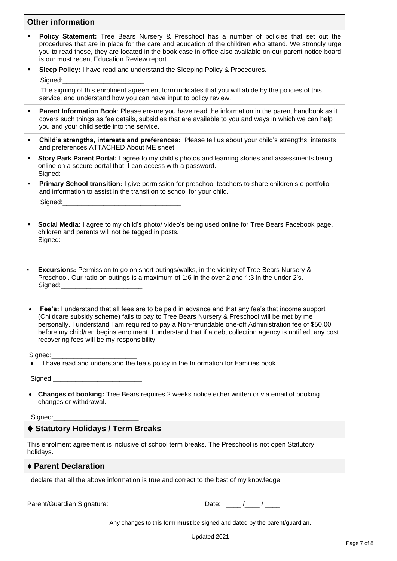### **Other information**

- **Policy Statement:** Tree Bears Nursery & Preschool has a number of policies that set out the procedures that are in place for the care and education of the children who attend. We strongly urge you to read these, they are located in the book case in office also available on our parent notice board is our most recent Education Review report.
- **Sleep Policy:** I have read and understand the Sleeping Policy & Procedures.

Signed:

The signing of this enrolment agreement form indicates that you will abide by the policies of this service, and understand how you can have input to policy review.

- **Parent Information Book**: Please ensure you have read the information in the parent handbook as it covers such things as fee details, subsidies that are available to you and ways in which we can help you and your child settle into the service.
- **Child's strengths, interests and preferences:** Please tell us about your child's strengths, interests and preferences ATTACHED About ME sheet
- **Story Park Parent Portal:** I agree to my child's photos and learning stories and assessments being online on a secure portal that, I can access with a password. Signed:
- **Primary School transition:** I give permission for preschool teachers to share children's e portfolio and information to assist in the transition to school for your child.

Signed:

- **Social Media:** I agree to my child's photo/ video's being used online for Tree Bears Facebook page, children and parents will not be tagged in posts. Signed:
- **Excursions:** Permission to go on short outings/walks, in the vicinity of Tree Bears Nursery & Preschool. Our ratio on outings is a maximum of 1:6 in the over 2 and 1:3 in the under 2's. Signed:

• **Fee's:** I understand that all fees are to be paid in advance and that any fee's that income support (Childcare subsidy scheme) fails to pay to Tree Bears Nursery & Preschool will be met by me personally. I understand I am required to pay a Non-refundable one-off Administration fee of \$50.00 before my child/ren begins enrolment. I understand that if a debt collection agency is notified, any cost recovering fees will be my responsibility.

Signed:

• I have read and understand the fee's policy in the Information for Families book.

Signed

• **Changes of booking:** Tree Bears requires 2 weeks notice either written or via email of booking changes or withdrawal.

Signed:

### ⧫ **Statutory Holidays / Term Breaks**

This enrolment agreement is inclusive of school term breaks. The Preschool is not open Statutory holidays.

#### ⧫ **Parent Declaration**

I declare that all the above information is true and correct to the best of my knowledge.

Parent/Guardian Signature: \_\_\_\_\_\_\_\_\_\_\_\_\_\_\_\_\_\_\_\_\_\_\_\_\_\_\_\_\_

| Date: |  |  |
|-------|--|--|
|       |  |  |